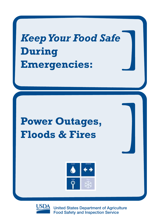# *Keep Your Food Safe* **During Emergencies:**

## **Power Outages, Floods & Fires**





United States Department of Agriculture Food Safety and Inspection Service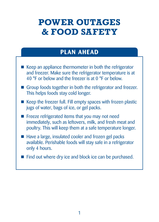## **Power Outages & Food Safety**

### **Plan Ahead**

- $\blacksquare$  Keep an appliance thermometer in both the refrigerator and freezer. Make sure the refrigerator temperature is at 40 °F or below and the freezer is at 0 °F or below.
- Group foods together in both the refrigerator and freezer. This helps foods stay cold longer.
- $\blacksquare$  Keep the freezer full. Fill empty spaces with frozen plastic jugs of water, bags of ice, or gel packs.
- $\blacksquare$  Freeze refrigerated items that you may not need immediately, such as leftovers, milk, and fresh meat and poultry. This will keep them at a safe temperature longer.
- Have a large, insulated cooler and frozen gel packs available. Perishable foods will stay safe in a refrigerator only 4 hours.
- Find out where dry ice and block ice can be purchased.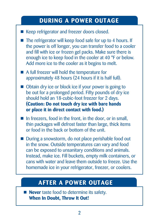## **During a Power Outage**

- E Keep refrigerator and freezer doors closed.
- $\blacksquare$  The refrigerator will keep food safe for up to 4 hours. If the power is off longer, you can transfer food to a cooler and fill with ice or frozen gel packs. Make sure there is enough ice to keep food in the cooler at 40 °F or below. Add more ice to the cooler as it begins to melt.
- $\blacksquare$  A full freezer will hold the temperature for approximately 48 hours (24 hours if it is half full).
- Obtain dry ice or block ice if your power is going to be out for a prolonged period. Fifty pounds of dry ice should hold an 18-cubic-foot freezer for 2 days. **(Caution: Do not touch dry ice with bare hands or place it in direct contact with food.)**
- In freezers, food in the front, in the door, or in small, thin packages will defrost faster than large, thick items or food in the back or bottom of the unit.
- During a snowstorm, do not place perishable food out in the snow. Outside temperatures can vary and food can be exposed to unsanitary conditions and animals. Instead, make ice. Fill buckets, empty milk containers, or cans with water and leave them outside to freeze. Use the homemade ice in your refrigerator, freezer, or coolers.

## **After a Power Outage**

**Never** taste food to determine its safety. **When In Doubt, Throw It Out!**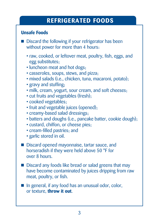## **Refrigerated Foods**

#### **Unsafe Foods**

- $\blacksquare$  Discard the following if your refrigerator has been without power for more than 4 hours:
	- raw, cooked, or leftover meat, poultry, fish, eggs, and egg substitutes;
	- luncheon meat and hot dogs;
	- casseroles, soups, stews, and pizza;
	- mixed salads (i.e., chicken, tuna, macaroni, potato);
	- gravy and stuffing;
	- milk, cream, yogurt, sour cream, and soft cheeses;
	- cut fruits and vegetables (fresh);
	- cooked vegetables;
	- fruit and vegetable juices (opened);
	- creamy-based salad dressings;
	- batters and doughs (i.e., pancake batter, cookie dough);
	- custard, chiffon, or cheese pies;
	- cream-filled pastries; and
	- garlic stored in oil.
- **Discard opened mayonnaise, tartar sauce, and** horseradish if they were held above 50 °F for over 8 hours.
- Discard any foods like bread or salad greens that may have become contaminated by juices dripping from raw meat, poultry, or fish.
- $\blacksquare$  In general, if any food has an unusual odor, color, or texture, **throw it out**.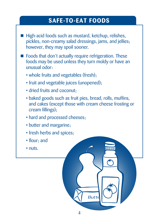## **Safe-to-Eat Foods**

- High-acid foods such as mustard, ketchup, relishes, pickles, non-creamy salad dressings, jams, and jellies; however, they may spoil sooner.
- **Foods that don't actually require refrigeration. These** foods may be used unless they turn moldy or have an unusual odor:
	- whole fruits and vegetables (fresh);
	- fruit and vegetable juices (unopened);
	- dried fruits and coconut;
	- baked goods such as fruit pies, bread, rolls, muffins, and cakes (except those with cream cheese frosting or cream fillings);

llittii

- hard and processed cheeses;
- butter and margarine;
- fresh herbs and spices;
- flour; and
- nuts.

**Butte**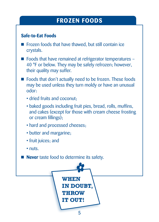## **Frozen Foods**

#### **Safe-to-Eat Foods**

- $\blacksquare$  Frozen foods that have thawed, but still contain ice crystals.
- $\blacksquare$  Foods that have remained at refrigerator temperatures 40 °F or below. They may be safely refrozen; however, their quality may suffer.
- **Example 1** Foods that don't actually need to be frozen. These foods may be used unless they turn moldy or have an unusual odor:
	- dried fruits and coconut;
	- baked goods including fruit pies, bread, rolls, muffins, and cakes (except for those with cream cheese frosting or cream fillings);
	- hard and processed cheeses;
	- butter and margarine;
	- fruit juices; and
	- nuts.

**Never** taste food to determine its safety.

**WHEN IN DOUBT, THROW IT OUT!**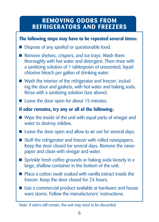## **Removing Odors from Refrigerators and Freezers**

#### **The following steps may have to be repeated several times:**

- **Dispose of any spoiled or questionable food.**
- Remove shelves, crispers, and ice trays. Wash them thoroughly with hot water and detergent. Then rinse with a sanitizing solution of 1 tablespoon of unscented, liquid chlorine bleach per gallon of drinking water.
- Wash the interior of the refrigerator and freezer, including the door and gaskets, with hot water and baking soda. Rinse with a sanitizing solution (see above).
- $\blacksquare$  Leave the door open for about 15 minutes.

#### **If odor remains, try any or all of the following:**

- $\blacksquare$  Wipe the inside of the unit with equal parts of vinegar and water to destroy mildew.
- $\blacksquare$  Leave the door open and allow to air out for several days.
- Stuff the refrigerator and freezer with rolled newspapers. Keep the door closed for several days. Remove the newspaper and clean with vinegar and water.
- **Sprinkle fresh coffee grounds or baking soda loosely in a** large, shallow container in the bottom of the unit.
- $\blacksquare$  Place a cotton swab soaked with vanilla extract inside the freezer. Keep the door closed for 24 hours.
- Use a commercial product available at hardware and houseware stores. Follow the manufacturers' instructions.

Note: If odors still remain, the unit may need to be discarded.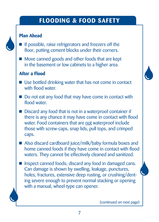## **Flooding & Food Safety**

#### **Plan Ahead**

- If possible, raise refrigerators and freezers off the floor, putting cement blocks under their corners.
- $\blacksquare$  Move canned goods and other foods that are kept in the basement or low cabinets to a higher area.

#### **After a Flood**

- $\blacksquare$  Use bottled drinking water that has not come in contact with flood water.
- $\blacksquare$  Do not eat any food that may have come in contact with flood water.
- **Discard any food that is not in a waterproof container if** there is any chance it may have come in contact with flood water. Food containers that are not waterproof include those with screw-caps, snap lids, pull tops, and crimped caps.
- Also discard cardboard juice/milk/baby formula boxes and home canned foods if they have come in contact with flood waters. They cannot be effectively cleaned and sanitized.
- **Inspect canned foods; discard any food in damaged cans.** Can damage is shown by swelling, leakage, punctures, holes, fractures, extensive deep rusting, or crushing/denting severe enough to prevent normal stacking or opening with a manual, wheel-type can opener.

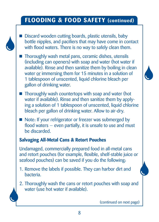## **Flooding & Food Safety (continued)**

- 
- Discard wooden cutting boards, plastic utensils, baby bottle nipples, and pacifiers that may have come in contact with flood waters. There is no way to safely clean them.
- **Thoroughly wash metal pans, ceramic dishes, utensils** (including can openers) with soap and water (hot water if available). Rinse and then sanitize them by boiling in clean water or immersing them for 15 minutes in a solution of 1 tablespoon of unscented, liquid chlorine bleach per gallon of drinking water.
- $\blacksquare$  Thoroughly wash countertops with soap and water (hot water if available). Rinse and then sanitize them by applying a solution of 1 tablespoon of unscented, liquid chlorine bleach per gallon of drinking water. Allow to air-dry.
- Note: If your refrigerator or freezer was submerged by flood waters — even partially, it is unsafe to use and must be discarded.

#### **Salvaging All-Metal Cans & Retort Pouches**

Undamaged, commercially prepared food in all-metal cans and retort pouches (for example, flexible, shelf-stable juice or seafood pouches) can be saved if you do the following:

- 1. Remove the labels if possible. They can harbor dirt and bacteria.
- 2. Thoroughly wash the cans or retort pouches with soap and water (use hot water if available).



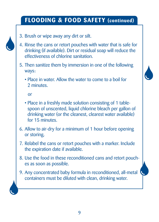## **Flooding & Food Safety (continued)**



- 3. Brush or wipe away any dirt or silt.
- 4. Rinse the cans or retort pouches with water that is safe for drinking (if available). Dirt or residual soap will reduce the effectiveness of chlorine sanitation.
- 5. Then sanitize them by immersion in one of the following ways:
	- Place in water. Allow the water to come to a boil for 2 minutes.

or

- Place in a freshly made solution consisting of 1 tablespoon of unscented, liquid chlorine bleach per gallon of drinking water (or the cleanest, clearest water available) for 15 minutes.
- 6. Allow to air-dry for a minimum of 1 hour before opening or storing.
- 7. Relabel the cans or retort pouches with a marker. Include the expiration date if available.
- 8. Use the food in these reconditioned cans and retort pouches as soon as possible.
- 9. Any concentrated baby formula in reconditioned, all-metal containers must be diluted with clean, drinking water.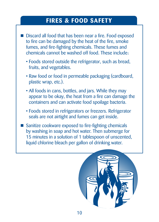## **Fires & Food Safety**

- Discard all food that has been near a fire. Food exposed to fire can be damaged by the heat of the fire, smoke fumes, and fire-fighting chemicals. These fumes and chemicals cannot be washed off food. These include:
	- Foods stored outside the refrigerator, such as bread, fruits, and vegetables.
	- Raw food or food in permeable packaging (cardboard, plastic wrap, etc.).
	- All foods in cans, bottles, and jars. While they may appear to be okay, the heat from a fire can damage the containers and can activate food spoilage bacteria.
	- Foods stored in refrigerators or freezers. Refrigerator seals are not airtight and fumes can get inside.
	- Sanitize cookware exposed to fire-fighting chemicals by washing in soap and hot water. Then submerge for 15 minutes in a solution of 1 tablespoon of unscented, liquid chlorine bleach per gallon of drinking water.

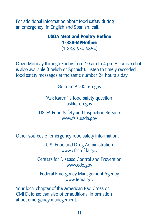For additional information about food safety during an emergency, in English and Spanish, call:

#### **USDA Meat and Poultry Hotline 1-888-MPHotline**

(1-888-674-6854)

Open Monday through Friday from 10 am to 4 pm ET; a live chat is also available (English or Spanish). Listen to timely recorded food safety messages at the same number 24 hours a day.

Go to m.AskKaren.gov

"Ask Karen" a food safety question: askkaren.gov

USDA Food Safety and Inspection Service www.fsis.usda.gov

Other sources of emergency food safety information:

U.S. Food and Drug Administration www.cfsan.fda.gov

Centers for Disease Control and Prevention www.cdc.gov

Federal Emergency Management Agency www.fema.gov

Your local chapter of the American Red Cross or Civil Defense can also offer additional information about emergency management.